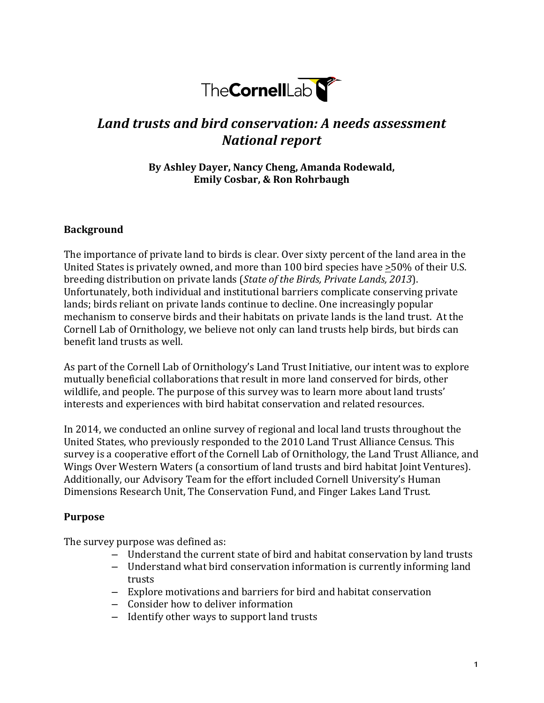

# Land trusts and bird conservation: A needs assessment *National report*

## By Ashley Dayer, Nancy Cheng, Amanda Rodewald, **Emily Cosbar, & Ron Rohrbaugh**

# **Background**

The importance of private land to birds is clear. Over sixty percent of the land area in the United States is privately owned, and more than 100 bird species have >50% of their U.S. breeding distribution on private lands (*State of the Birds, Private Lands, 2013*). Unfortunately, both individual and institutional barriers complicate conserving private lands; birds reliant on private lands continue to decline. One increasingly popular mechanism to conserve birds and their habitats on private lands is the land trust. At the Cornell Lab of Ornithology, we believe not only can land trusts help birds, but birds can benefit land trusts as well.

As part of the Cornell Lab of Ornithology's Land Trust Initiative, our intent was to explore mutually beneficial collaborations that result in more land conserved for birds, other wildlife, and people. The purpose of this survey was to learn more about land trusts' interests and experiences with bird habitat conservation and related resources.

In 2014, we conducted an online survey of regional and local land trusts throughout the United States, who previously responded to the 2010 Land Trust Alliance Census. This survey is a cooperative effort of the Cornell Lab of Ornithology, the Land Trust Alliance, and Wings Over Western Waters (a consortium of land trusts and bird habitat Joint Ventures). Additionally, our Advisory Team for the effort included Cornell University's Human Dimensions Research Unit, The Conservation Fund, and Finger Lakes Land Trust.

#### **Purpose**

The survey purpose was defined as:

- Understand the current state of bird and habitat conservation by land trusts
- Understand what bird conservation information is currently informing land trusts
- Explore motivations and barriers for bird and habitat conservation
- Consider how to deliver information
- Identify other ways to support land trusts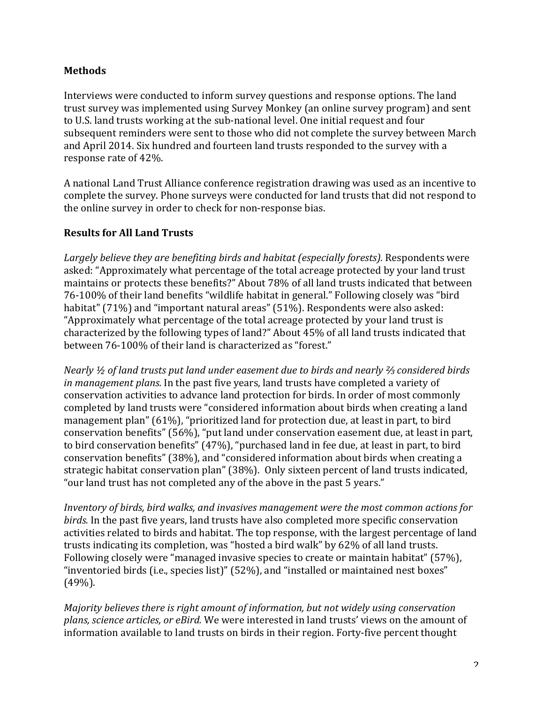# **Methods**

Interviews were conducted to inform survey questions and response options. The land trust survey was implemented using Survey Monkey (an online survey program) and sent to U.S. land trusts working at the sub-national level. One initial request and four subsequent reminders were sent to those who did not complete the survey between March and April 2014. Six hundred and fourteen land trusts responded to the survey with a response rate of 42%.

A national Land Trust Alliance conference registration drawing was used as an incentive to complete the survey. Phone surveys were conducted for land trusts that did not respond to the online survey in order to check for non-response bias.

# **Results for All Land Trusts**

Largely believe they are benefiting birds and habitat (especially forests). Respondents were asked: "Approximately what percentage of the total acreage protected by your land trust maintains or protects these benefits?" About 78% of all land trusts indicated that between 76-100% of their land benefits "wildlife habitat in general." Following closely was "bird habitat" (71%) and "important natural areas" (51%). Respondents were also asked: "Approximately what percentage of the total acreage protected by your land trust is characterized by the following types of land?" About 45% of all land trusts indicated that between 76-100% of their land is characterized as "forest."

*Nearly ½* of land trusts put land under easement due to birds and nearly <sup>2</sup>/<sub>3</sub> considered birds *in management plans.* In the past five years, land trusts have completed a variety of conservation activities to advance land protection for birds. In order of most commonly completed by land trusts were "considered information about birds when creating a land management plan"  $(61%)$ , "prioritized land for protection due, at least in part, to bird conservation benefits" (56%), "put land under conservation easement due, at least in part, to bird conservation benefits" (47%), "purchased land in fee due, at least in part, to bird conservation benefits" (38%), and "considered information about birds when creating a strategic habitat conservation plan" (38%). Only sixteen percent of land trusts indicated, "our land trust has not completed any of the above in the past 5 years."

*Inventory of birds, bird walks, and invasives management were the most common actions for birds*. In the past five years, land trusts have also completed more specific conservation activities related to birds and habitat. The top response, with the largest percentage of land trusts indicating its completion, was "hosted a bird walk" by 62% of all land trusts. Following closely were "managed invasive species to create or maintain habitat" (57%), "inventoried birds (i.e., species list)"  $(52%)$ , and "installed or maintained nest boxes" (49%).

*Majority believes there is right amount of information, but not widely using conservation plans, science articles, or eBird.* We were interested in land trusts' views on the amount of information available to land trusts on birds in their region. Forty-five percent thought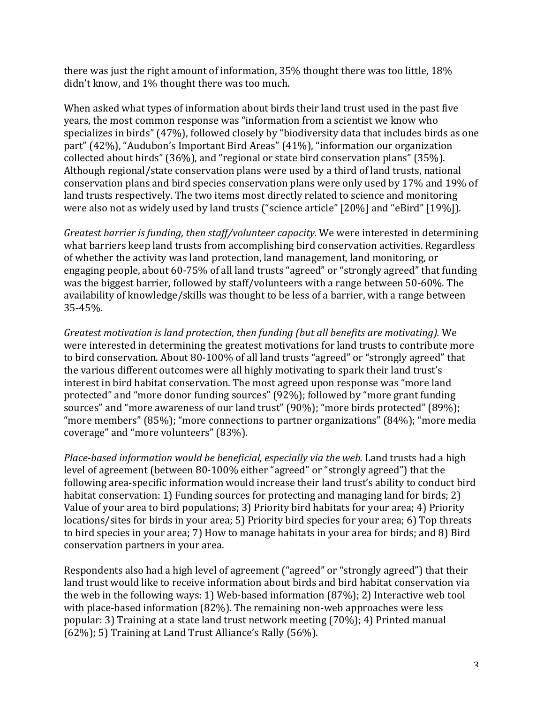there was just the right amount of information,  $35\%$  thought there was too little,  $18\%$ didn't know, and 1% thought there was too much.

When asked what types of information about birds their land trust used in the past five years, the most common response was "information from a scientist we know who specializes in birds"  $(47%)$ , followed closely by "biodiversity data that includes birds as one part" (42%), "Audubon's Important Bird Areas" (41%), "information our organization collected about birds"  $(36\%)$ , and "regional or state bird conservation plans"  $(35\%)$ . Although regional/state conservation plans were used by a third of land trusts, national conservation plans and bird species conservation plans were only used by 17% and 19% of land trusts respectively. The two items most directly related to science and monitoring were also not as widely used by land trusts ("science article" [20%] and "eBird" [19%]).

*Greatest barrier is funding, then staff/volunteer capacity.* We were interested in determining what barriers keep land trusts from accomplishing bird conservation activities. Regardless of whether the activity was land protection, land management, land monitoring, or engaging people, about 60-75% of all land trusts "agreed" or "strongly agreed" that funding was the biggest barrier, followed by staff/volunteers with a range between 50-60%. The availability of knowledge/skills was thought to be less of a barrier, with a range between 35-45%.

*Greatest motivation is land protection, then funding (but all benefits are motivating).* We were interested in determining the greatest motivations for land trusts to contribute more to bird conservation. About 80-100% of all land trusts "agreed" or "strongly agreed" that the various different outcomes were all highly motivating to spark their land trust's interest in bird habitat conservation. The most agreed upon response was "more land protected" and "more donor funding sources" (92%); followed by "more grant funding sources" and "more awareness of our land trust" (90%); "more birds protected" (89%); "more members" (85%); "more connections to partner organizations" (84%); "more media coverage" and "more volunteers" (83%).

*Place-based information would be beneficial, especially via the web.* Land trusts had a high level of agreement (between 80-100% either "agreed" or "strongly agreed") that the following area-specific information would increase their land trust's ability to conduct bird habitat conservation: 1) Funding sources for protecting and managing land for birds; 2) Value of your area to bird populations; 3) Priority bird habitats for your area; 4) Priority locations/sites for birds in your area; 5) Priority bird species for your area; 6) Top threats to bird species in your area; 7) How to manage habitats in your area for birds; and 8) Bird conservation partners in your area.

Respondents also had a high level of agreement ("agreed" or "strongly agreed") that their land trust would like to receive information about birds and bird habitat conservation via the web in the following ways: 1) Web-based information  $(87%)$ ; 2) Interactive web tool with place-based information  $(82%)$ . The remaining non-web approaches were less popular: 3) Training at a state land trust network meeting (70%); 4) Printed manual  $(62\%)$ ; 5) Training at Land Trust Alliance's Rally  $(56\%)$ .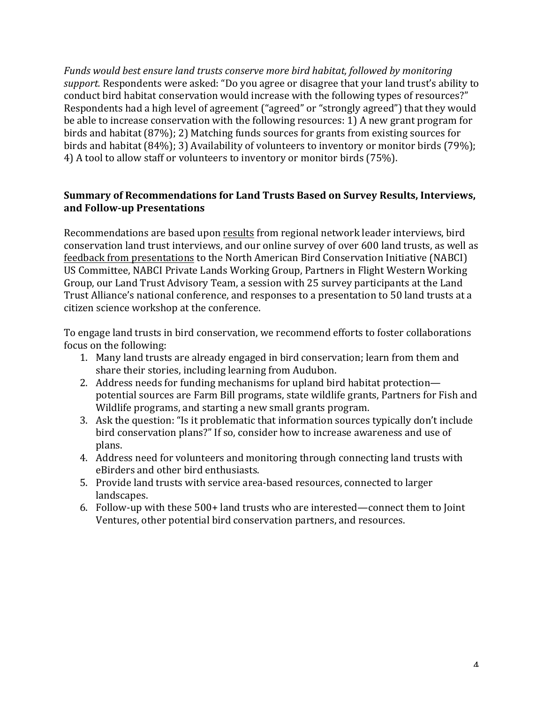Funds would best ensure land trusts conserve more bird habitat, followed by monitoring support. Respondents were asked: "Do you agree or disagree that your land trust's ability to conduct bird habitat conservation would increase with the following types of resources?" Respondents had a high level of agreement ("agreed" or "strongly agreed") that they would be able to increase conservation with the following resources: 1) A new grant program for birds and habitat  $(87%)$ ; 2) Matching funds sources for grants from existing sources for birds and habitat  $(84%)$ ; 3) Availability of volunteers to inventory or monitor birds  $(79%)$ ; 4) A tool to allow staff or volunteers to inventory or monitor birds (75%).

## **Summary of Recommendations for Land Trusts Based on Survey Results, Interviews, and Follow-up Presentations**

Recommendations are based upon results from regional network leader interviews, bird conservation land trust interviews, and our online survey of over 600 land trusts, as well as feedback from presentations to the North American Bird Conservation Initiative (NABCI) US Committee, NABCI Private Lands Working Group, Partners in Flight Western Working Group, our Land Trust Advisory Team, a session with 25 survey participants at the Land Trust Alliance's national conference, and responses to a presentation to 50 land trusts at a citizen science workshop at the conference.

To engage land trusts in bird conservation, we recommend efforts to foster collaborations focus on the following:

- 1. Many land trusts are already engaged in bird conservation; learn from them and share their stories, including learning from Audubon.
- 2. Address needs for funding mechanisms for upland bird habitat protection potential sources are Farm Bill programs, state wildlife grants, Partners for Fish and Wildlife programs, and starting a new small grants program.
- 3. Ask the question: "Is it problematic that information sources typically don't include bird conservation plans?" If so, consider how to increase awareness and use of plans.
- 4. Address need for volunteers and monitoring through connecting land trusts with eBirders and other bird enthusiasts.
- 5. Provide land trusts with service area-based resources, connected to larger landscapes.
- 6. Follow-up with these  $500+$  land trusts who are interested—connect them to Joint Ventures, other potential bird conservation partners, and resources.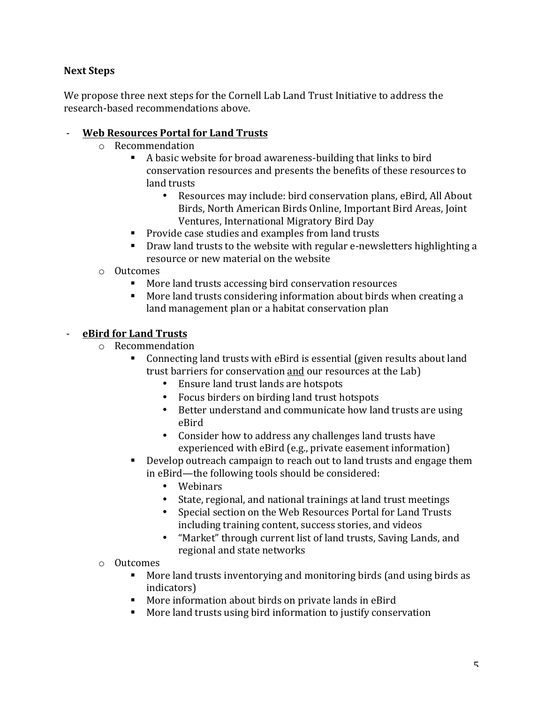## **Next Steps**

We propose three next steps for the Cornell Lab Land Trust Initiative to address the research-based recommendations above.

## **Web Resources Portal for Land Trusts**

- o Recommendation
	- A basic website for broad awareness-building that links to bird conservation resources and presents the benefits of these resources to land trusts
		- Resources may include: bird conservation plans, eBird, All About Birds, North American Birds Online, Important Bird Areas, Joint Ventures, International Migratory Bird Day
	- Provide case studies and examples from land trusts
	- **•** Draw land trusts to the website with regular e-newsletters highlighting a resource or new material on the website
- o Outcomes
	- More land trusts accessing bird conservation resources
	- More land trusts considering information about birds when creating a land management plan or a habitat conservation plan

# - **eBird for Land Trusts**

- o Recommendation
	- Connecting land trusts with eBird is essential (given results about land trust barriers for conservation and our resources at the Lab)
		- Ensure land trust lands are hotspots
		- Focus birders on birding land trust hotspots
		- Better understand and communicate how land trusts are using eBird
		- Consider how to address any challenges land trusts have experienced with eBird (e.g., private easement information)
	- Develop outreach campaign to reach out to land trusts and engage them in eBird—the following tools should be considered:
		- Webinars
		- State, regional, and national trainings at land trust meetings
		- Special section on the Web Resources Portal for Land Trusts including training content, success stories, and videos
		- "Market" through current list of land trusts, Saving Lands, and regional and state networks
- o Outcomes
	- More land trusts inventorying and monitoring birds (and using birds as indicators)
	- More information about birds on private lands in eBird
	- More land trusts using bird information to justify conservation